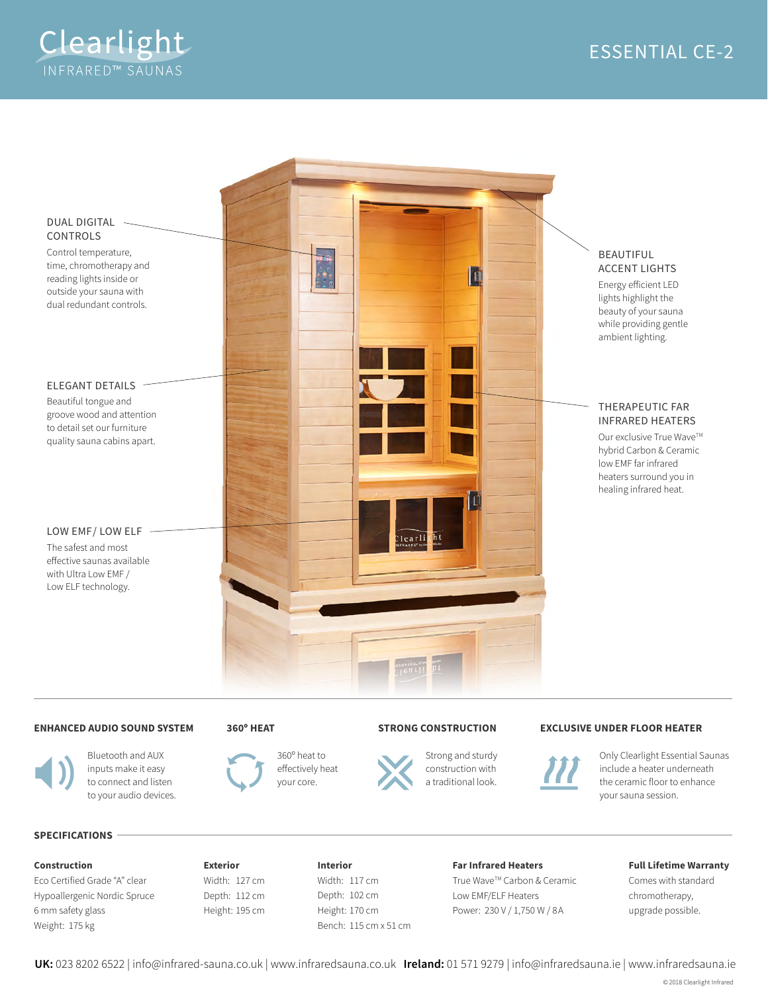



### **ENHANCED AUDIO SOUND SYSTEM**

## **360º HEAT**



Bluetooth and AUX inputs make it easy to connect and listen to your audio devices.



360º heat to effectively heat your core.

## **STRONG CONSTRUCTION**



Strong and sturdy construction with a traditional look.

### **EXCLUSIVE UNDER FLOOR HEATER**



Only Clearlight Essential Saunas include a heater underneath the ceramic floor to enhance your sauna session.

### **SPECIFICATIONS**

### **Construction**

Eco Certified Grade "A" clear Hypoallergenic Nordic Spruce 6 mm safety glass Weight: 175 kg

**Exterior** Width: 127 cm Depth: 112 cm Height: 195 cm **Interior** Width: 117 cm Depth: 102 cm Height: 170 cm Bench: 115 cm x 51 cm

#### **Far Infrared Heaters**

True Wave™ Carbon & Ceramic Low EMF/ELF Heaters Power: 230 V / 1,750 W / 8 A

## **Full Lifetime Warranty**

Comes with standard chromotherapy, upgrade possible.

**UK:** 023 8202 6522 | info@infrared-sauna.co.uk | www.infraredsauna.co.uk **Ireland:** 01 571 9279 | info@infraredsauna.ie | www.infraredsauna.ie

© 2018 Clearlight Infrared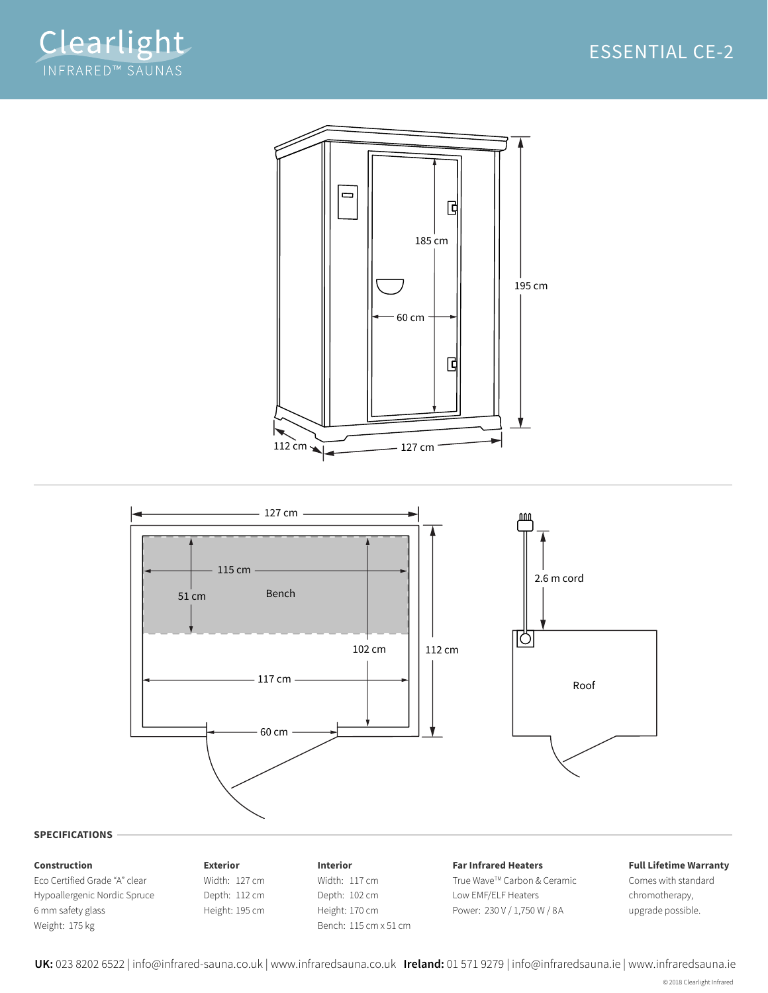





**UK:** 023 8202 6522 | info@infrared-sauna.co.uk | www.infraredsauna.co.uk **Ireland:** 01 571 9279 | info@infraredsauna.ie | www.infraredsauna.ie

© 2018 Clearlight Infrared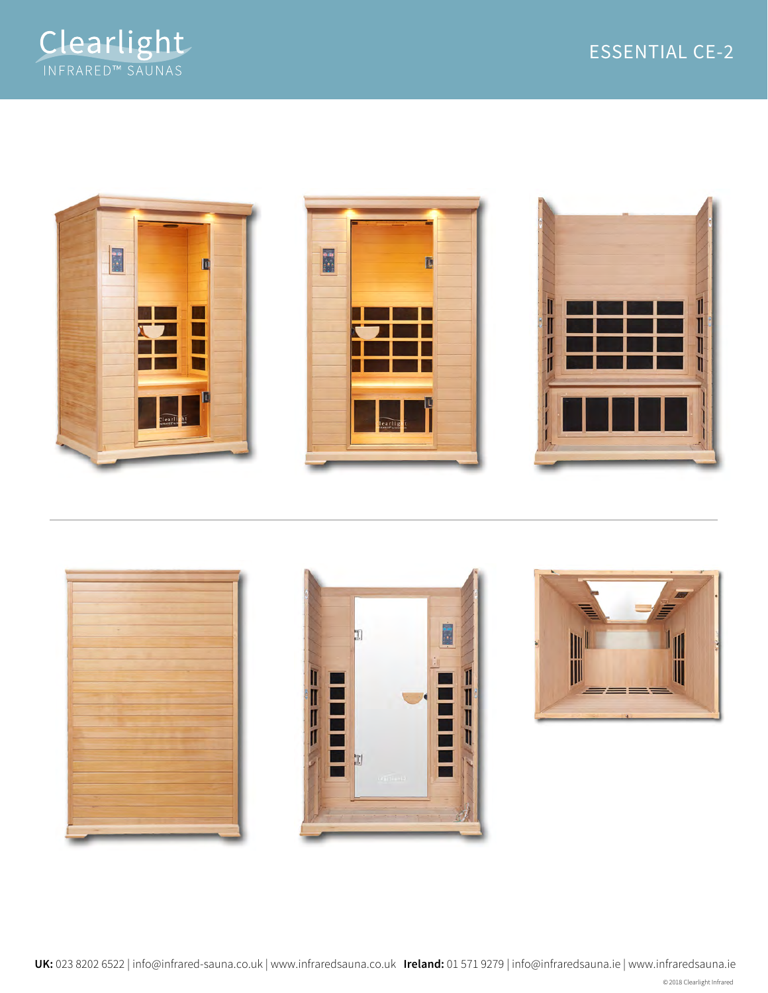











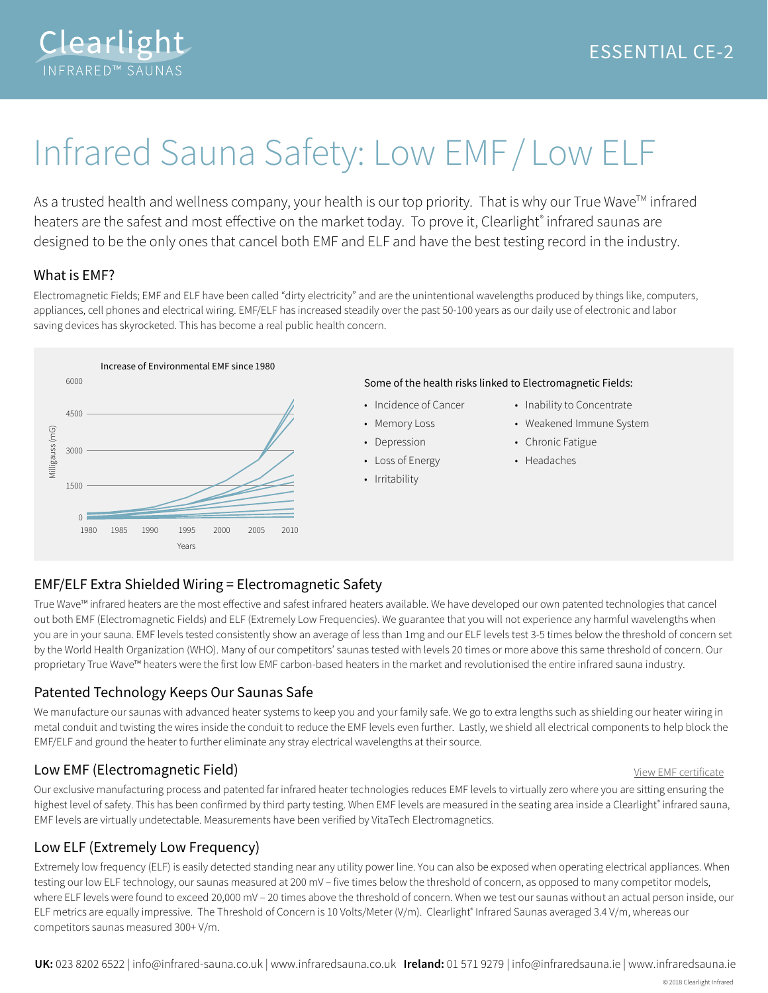

# Infrared Sauna Safety: Low EMF / Low ELF

As a trusted health and wellness company, your health is our top priority. That is why our True Wave™ infrared heaters are the safest and most effective on the market today. To prove it, Clearlight® infrared saunas are designed to be the only ones that cancel both EMF and ELF and have the best testing record in the industry.

## What is EMF?

Electromagnetic Fields; EMF and ELF have been called "dirty electricity" and are the unintentional wavelengths produced by things like, computers, appliances, cell phones and electrical wiring. EMF/ELF has increased steadily over the past 50-100 years as our daily use of electronic and labor saving devices has skyrocketed. This has become a real public health concern.



## Some of the health risks linked to Electromagnetic Fields:

- Incidence of Cancer
- Memory Loss
- Depression
- Loss of Energy
- Irritability
- Inability to Concentrate
- Weakened Immune System
- Chronic Fatigue
- Headaches

# EMF/ELF Extra Shielded Wiring = Electromagnetic Safety

True Wave™ infrared heaters are the most effective and safest infrared heaters available. We have developed our own patented technologies that cancel out both EMF (Electromagnetic Fields) and ELF (Extremely Low Frequencies). We guarantee that you will not experience any harmful wavelengths when you are in your sauna. EMF levels tested consistently show an average of less than 1mg and our ELF levels test 3-5 times below the threshold of concern set by the World Health Organization (WHO). Many of our competitors' saunas tested with levels 20 times or more above this same threshold of concern. Our proprietary True Wave™ heaters were the first low EMF carbon-based heaters in the market and revolutionised the entire infrared sauna industry.

# Patented Technology Keeps Our Saunas Safe

We manufacture our saunas with advanced heater systems to keep you and your family safe. We go to extra lengths such as shielding our heater wiring in metal conduit and twisting the wires inside the conduit to reduce the EMF levels even further. Lastly, we shield all electrical components to help block the EMF/ELF and ground the heater to further eliminate any stray electrical wavelengths at their source.

# **Low EMF (Electromagnetic Field)** and the control of the control of the View EMF [certificate](https://drive.google.com/file/d/0Bw_4FL5ASR_KM3hiS3VVTURLNkU/view)

Our exclusive manufacturing process and patented far infrared heater technologies reduces EMF levels to virtually zero where you are sitting ensuring the highest level of safety. This has been confirmed by third party testing. When EMF levels are measured in the seating area inside a Clearlight® infrared sauna, EMF levels are virtually undetectable. Measurements have been verified by VitaTech Electromagnetics.

# Low ELF (Extremely Low Frequency)

Extremely low frequency (ELF) is easily detected standing near any utility power line. You can also be exposed when operating electrical appliances. When testing our low ELF technology, our saunas measured at 200 mV – five times below the threshold of concern, as opposed to many competitor models, where ELF levels were found to exceed 20,000 mV – 20 times above the threshold of concern. When we test our saunas without an actual person inside, our ELF metrics are equally impressive. The Threshold of Concern is 10 Volts/Meter (V/m). Clearlight® Infrared Saunas averaged 3.4 V/m, whereas our competitors saunas measured 300+ V/m.

**UK:** 023 8202 6522 | info@infrared-sauna.co.uk | www.infraredsauna.co.uk **Ireland:** 01 571 9279 | info@infraredsauna.ie | www.infraredsauna.ie

© 2018 Clearlight Infrared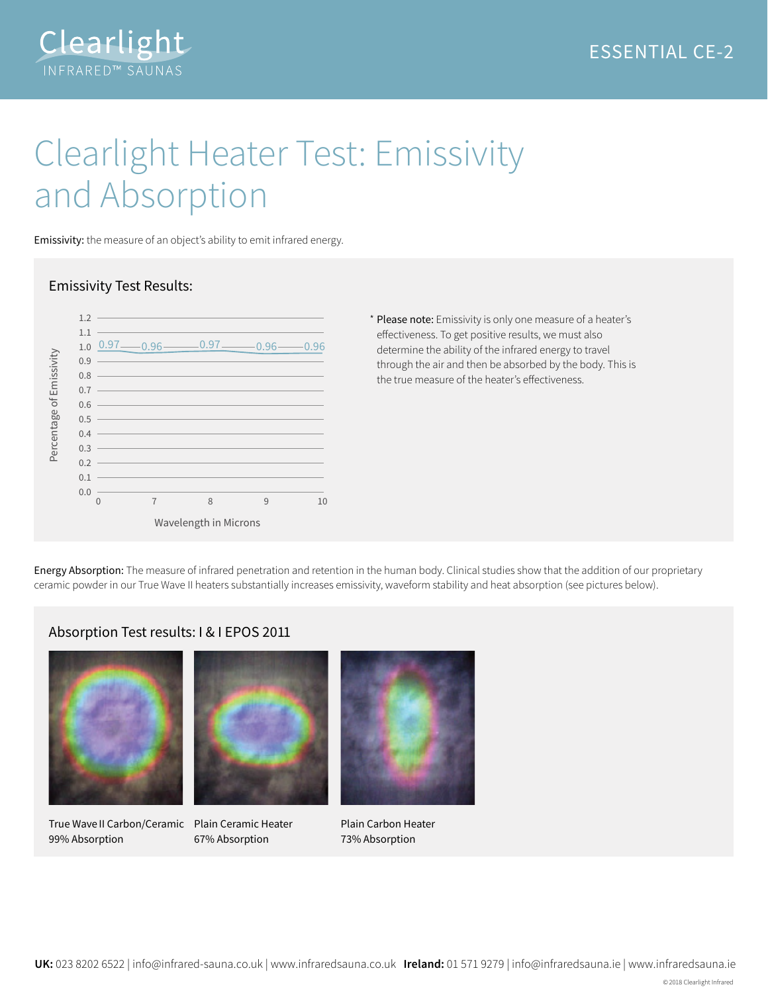



# Clearlight Heater Test: Emissivity and Absorption

Emissivity: the measure of an object's ability to emit infrared energy.



## Emissivity Test Results:

\* Please note: Emissivity is only one measure of a heater's effectiveness. To get positive results, we must also determine the ability of the infrared energy to travel through the air and then be absorbed by the body. This is the true measure of the heater's effectiveness.

Energy Absorption: The measure of infrared penetration and retention in the human body. Clinical studies show that the addition of our proprietary ceramic powder in our True Wave II heaters substantially increases emissivity, waveform stability and heat absorption (see pictures below).

## Absorption Test results: I & I EPOS 2011



True Wave II Carbon/Ceramic Plain Ceramic Heater 99% Absorption



67% Absorption



Plain Carbon Heater 73% Absorption